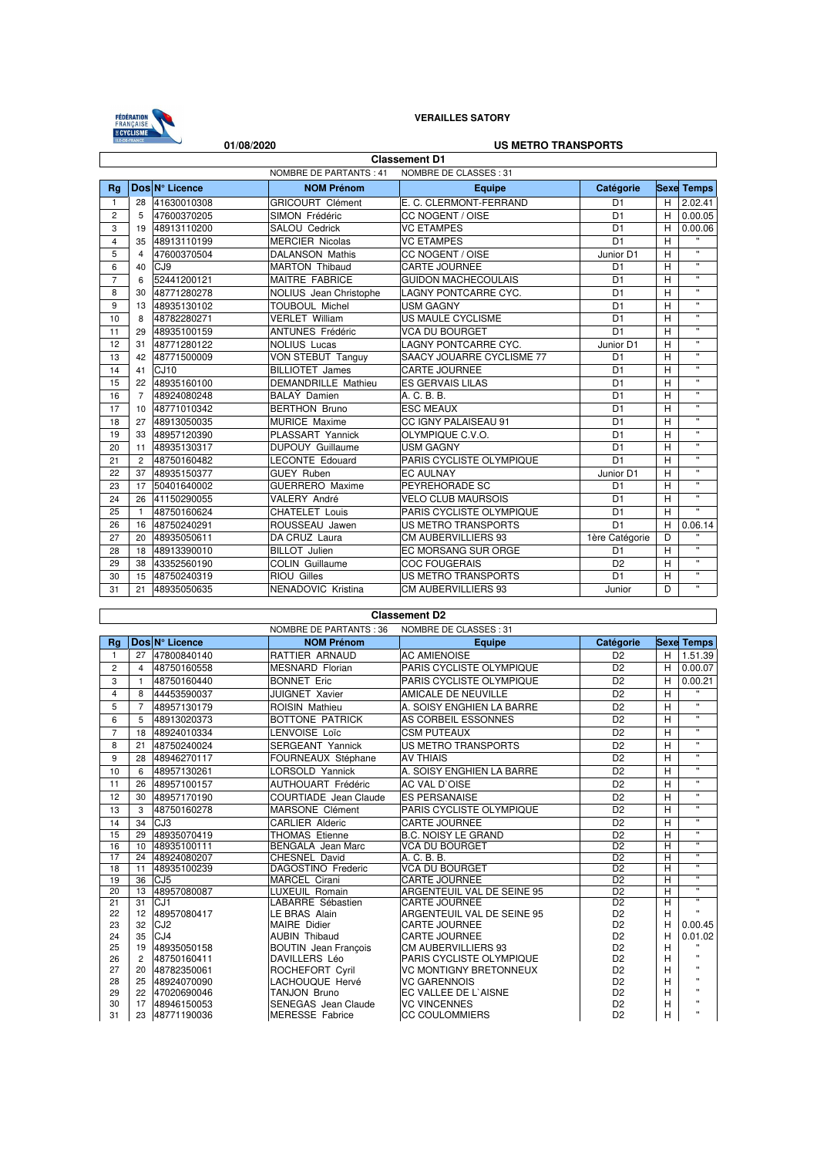

 $\overline{\phantom{a}}$ 

## **VERAILLES SATORY**

| <b>US METRO TRANSPORTS</b><br>01/08/2020               |                |                 |                            |                             |                |   |                    |
|--------------------------------------------------------|----------------|-----------------|----------------------------|-----------------------------|----------------|---|--------------------|
| <b>Classement D1</b>                                   |                |                 |                            |                             |                |   |                    |
| <b>NOMBRE DE PARTANTS: 41</b><br>NOMBRE DE CLASSES: 31 |                |                 |                            |                             |                |   |                    |
| Rq                                                     |                | Dos N° Licence  | <b>NOM Prénom</b>          | Equipe                      | Catégorie      |   | <b>Sexe Temps</b>  |
| 1                                                      | 28             | 41630010308     | <b>GRICOURT Clément</b>    | E. C. CLERMONT-FERRAND      | D <sub>1</sub> | H | 2.02.41            |
| $\overline{2}$                                         | 5              | 47600370205     | SIMON Frédéric             | CC NOGENT / OISE            | D <sub>1</sub> | H | 0.00.05            |
| 3                                                      | 19             | 48913110200     | SALOU Cedrick              | <b>VC ETAMPES</b>           | D <sub>1</sub> | H | 0.00.06            |
| 4                                                      | 35             | 48913110199     | <b>MERCIER Nicolas</b>     | <b>VC ETAMPES</b>           | D <sub>1</sub> | H | $\mathbf{u}$       |
| 5                                                      | $\overline{4}$ | 47600370504     | <b>DALANSON Mathis</b>     | CC NOGENT / OISE            | Junior D1      | H | $\mathbf{u}$       |
| 6                                                      | 40             | CJ <sub>9</sub> | <b>MARTON Thibaud</b>      | CARTE JOURNEE               | D <sub>1</sub> | H | $\mathbf{u}$       |
| $\overline{7}$                                         | 6              | 52441200121     | MAITRE FABRICE             | <b>GUIDON MACHECOULAIS</b>  | D <sub>1</sub> | H | $\mathbf{u}$       |
| 8                                                      | 30             | 48771280278     | NOLIUS Jean Christophe     | LAGNY PONTCARRE CYC.        | D <sub>1</sub> | H | $\mathbf{u}$       |
| 9                                                      | 13             | 48935130102     | <b>TOUBOUL Michel</b>      | <b>USM GAGNY</b>            | D <sub>1</sub> | H | $\mathbf{u}$       |
| 10                                                     | 8              | 48782280271     | <b>VERLET William</b>      | US MAULE CYCLISME           | D <sub>1</sub> | H | $\mathbf{u}$       |
| 11                                                     | 29             | 48935100159     | <b>ANTUNES Frédéric</b>    | <b>VCA DU BOURGET</b>       | D <sub>1</sub> | H | $\mathbf{u}$       |
| 12                                                     | 31             | 48771280122     | <b>NOLIUS Lucas</b>        | <b>LAGNY PONTCARRE CYC.</b> | Junior D1      | H | $\mathbf{u}$       |
| 13                                                     | 42             | 48771500009     | VON STEBUT Tanguy          | SAACY JOUARRE CYCLISME 77   | D <sub>1</sub> | H | $\mathbf{H}$       |
| 14                                                     | 41             | CJ10            | <b>BILLIOTET James</b>     | <b>CARTE JOURNEE</b>        | D <sub>1</sub> | H | $\pmb{\mathsf{u}}$ |
| 15                                                     | 22             | 48935160100     | <b>DEMANDRILLE Mathieu</b> | <b>ES GERVAIS LILAS</b>     | D <sub>1</sub> | H | $\mathbf{u}$       |
| 16                                                     | $\overline{7}$ | 48924080248     | BALAY Damien               | A. C. B. B.                 | D <sub>1</sub> | H | $\pmb{\mathsf{u}}$ |
| 17                                                     | 10             | 48771010342     | <b>BERTHON Bruno</b>       | <b>ESC MEAUX</b>            | D <sub>1</sub> | H | $\mathbf{u}$       |
| 18                                                     | 27             | 48913050035     | <b>MURICE Maxime</b>       | CC IGNY PALAISEAU 91        | D <sub>1</sub> | H | $\mathbf{u}$       |
| 19                                                     | 33             | 48957120390     | PLASSART Yannick           | OLYMPIQUE C.V.O.            | D <sub>1</sub> | H | $\mathbf{u}$       |
| 20                                                     | 11             | 48935130317     | <b>DUPOUY Guillaume</b>    | <b>USM GAGNY</b>            | D <sub>1</sub> | H | $\mathbf{u}$       |
| 21                                                     | 2              | 48750160482     | <b>LECONTE Edouard</b>     | PARIS CYCLISTE OLYMPIQUE    | D <sub>1</sub> | H | $\mathbf{u}$       |
| 22                                                     | 37             | 48935150377     | <b>GUEY Ruben</b>          | <b>EC AULNAY</b>            | Junior D1      | H | $\mathbf{u}$       |
| 23                                                     | 17             | 50401640002     | <b>GUERRERO</b> Maxime     | PEYREHORADE SC              | D <sub>1</sub> | H | $\pmb{\mathsf{u}}$ |
| 24                                                     | 26             | 41150290055     | VALERY André               | <b>VELO CLUB MAURSOIS</b>   | D <sub>1</sub> | H | $\mathbf{u}$       |
| 25                                                     | $\mathbf{1}$   | 48750160624     | <b>CHATELET Louis</b>      | PARIS CYCLISTE OLYMPIQUE    | D <sub>1</sub> | H | $\mathbf{u}$       |
| 26                                                     | 16             | 48750240291     | ROUSSEAU Jawen             | <b>US METRO TRANSPORTS</b>  | D <sub>1</sub> | H | 0.06.14            |
| 27                                                     | 20             | 48935050611     | DA CRUZ Laura              | <b>CM AUBERVILLIERS 93</b>  | 1ère Catégorie | D | $\pmb{\mathsf{u}}$ |
| 28                                                     | 18             | 48913390010     | <b>BILLOT</b> Julien       | EC MORSANG SUR ORGE         | D <sub>1</sub> | H | $\mathbf{u}$       |
| 29                                                     | 38             | 43352560190     | <b>COLIN Guillaume</b>     | <b>COC FOUGERAIS</b>        | D <sub>2</sub> | H | $\mathbf{u}$       |
| 30                                                     | 15             | 48750240319     | <b>RIOU Gilles</b>         | <b>US METRO TRANSPORTS</b>  | D <sub>1</sub> | H | $\mathbf{u}$       |
| 31                                                     | 21             | 48935050635     | NENADOVIC Kristina         | CM AUBERVILLIERS 93         | Junior         | D | $\mathbf{u}$       |

## **Classement D2**

ן

|                | NOMBRE DE PARTANTS: 36<br>NOMBRE DE CLASSES: 31 |                 |                             |                               |                 |   |                         |
|----------------|-------------------------------------------------|-----------------|-----------------------------|-------------------------------|-----------------|---|-------------------------|
| Ra             |                                                 | Dos N° Licence  | <b>NOM Prénom</b>           | <b>Equipe</b>                 | Catégorie       |   | <b>Sexe Temps</b>       |
| 1.             | 27                                              | 47800840140     | <b>RATTIER ARNAUD</b>       | <b>AC AMIENOISE</b>           | D <sub>2</sub>  | H | 1.51.39                 |
| $\overline{2}$ | 4                                               | 48750160558     | <b>MESNARD Florian</b>      | PARIS CYCLISTE OLYMPIQUE      | D <sub>2</sub>  | H | 0.00.07                 |
| 3              | 1                                               | 48750160440     | <b>BONNET Eric</b>          | PARIS CYCLISTE OLYMPIQUE      | D <sub>2</sub>  | H | 0.00.21                 |
| 4              | 8                                               | 44453590037     | <b>JUIGNET Xavier</b>       | AMICALE DE NEUVILLE           | D <sub>2</sub>  | H | $\mathbf{u}$            |
| 5              | $\overline{7}$                                  | 48957130179     | <b>ROISIN Mathieu</b>       | A. SOISY ENGHIEN LA BARRE     | D <sub>2</sub>  | H | $\mathbf{u}$            |
| 6              | 5                                               | 48913020373     | BOTTONE PATRICK             | AS CORBEIL ESSONNES           | D <sub>2</sub>  | H | $\mathbf{u}$            |
| $\overline{7}$ | 18                                              | 48924010334     | LENVOISE Loïc               | <b>CSM PUTEAUX</b>            | D <sub>2</sub>  | H | $\mathbf{H}$            |
| 8              | 21                                              | 48750240024     | SERGEANT Yannick            | <b>US METRO TRANSPORTS</b>    | D <sub>2</sub>  | H | $\pmb{\mathsf{u}}$      |
| 9              | 28                                              | 48946270117     | FOURNEAUX Stéphane          | <b>AV THIAIS</b>              | D <sub>2</sub>  | H | $\mathbf{u}$            |
| 10             | 6                                               | 48957130261     | LORSOLD Yannick             | A. SOISY ENGHIEN LA BARRE     | D <sub>2</sub>  | H | $\pmb{\mathsf{u}}$      |
| 11             | 26                                              | 48957100157     | AUTHOUART Frédéric          | AC VAL D'OISE                 | D <sub>2</sub>  | H | $\mathbf{H}$            |
| 12             | 30                                              | 48957170190     | COURTIADE Jean Claude       | <b>ES PERSANAISE</b>          | D <sub>2</sub>  | H | $\pmb{\mathsf{u}}$      |
| 13             | 3                                               | 48750160278     | MARSONE Clément             | PARIS CYCLISTE OLYMPIQUE      | D <sub>2</sub>  | H | $\mathbf{u}$            |
| 14             | 34                                              | CJ3             | <b>CARLIER Alderic</b>      | <b>CARTE JOURNEE</b>          | D <sub>2</sub>  | H | $\mathbf{H}$            |
| 15             | 29                                              | 48935070419     | <b>THOMAS Etienne</b>       | <b>B.C. NOISY LE GRAND</b>    | D <sub>2</sub>  | H | $\pmb{\mathsf{u}}$      |
| 16             | 10                                              | 48935100111     | <b>BENGALA</b> Jean Marc    | <b>VCA DU BOURGET</b>         | D <sub>2</sub>  | H | $\mathbf{u}$            |
| 17             | 24                                              | 48924080207     | CHESNEL David               | A. C. B. B.                   | D <sub>2</sub>  | H | $\mathbf{u}$            |
| 18             | 11                                              | 48935100239     | DAGOSTINO Frederic          | <b>VCA DU BOURGET</b>         | $\overline{D2}$ | н | $\mathbf{H}$            |
| 19             | 36                                              | CJ <sub>5</sub> | <b>MARCEL Cirani</b>        | <b>CARTE JOURNEE</b>          | D <sub>2</sub>  | H | $\mathbf{u}$            |
| 20             | 13                                              | 48957080087     | <b>LUXEUIL Romain</b>       | ARGENTEUIL VAL DE SEINE 95    | D <sub>2</sub>  | H | $\pmb{\mathsf{u}}$      |
| 21             | 31                                              | CJ <sub>1</sub> | LABARRE Sébastien           | <b>CARTE JOURNEE</b>          | D <sub>2</sub>  | Η | $\overline{\mathbf{u}}$ |
| 22             | 12                                              | 48957080417     | LE BRAS Alain               | ARGENTEUIL VAL DE SEINE 95    | D <sub>2</sub>  | H | $\blacksquare$          |
| 23             | 32                                              | CJ <sub>2</sub> | MAIRE Didier                | <b>CARTE JOURNEE</b>          | D <sub>2</sub>  | H | 0.00.45                 |
| 24             | 35                                              | CJ4             | <b>AUBIN Thibaud</b>        | <b>CARTE JOURNEE</b>          | D <sub>2</sub>  | H | 0.01.02                 |
| 25             | 19                                              | 48935050158     | <b>BOUTIN</b> Jean Francois | CM AUBERVILLIERS 93           | D <sub>2</sub>  | H |                         |
| 26             | $\overline{2}$                                  | 48750160411     | <b>DAVILLERS Léo</b>        | PARIS CYCLISTE OLYMPIQUE      | D <sub>2</sub>  | H | Ħ                       |
| 27             | 20                                              | 48782350061     | ROCHEFORT Cyril             | <b>VC MONTIGNY BRETONNEUX</b> | D <sub>2</sub>  | H | $\mathbf{u}$            |
| 28             | 25                                              | 48924070090     | LACHOUQUE Hervé             | <b>VC GARENNOIS</b>           | D <sub>2</sub>  | н | $\blacksquare$          |
| 29             | 22                                              | 47020690046     | <b>TANJON Bruno</b>         | EC VALLEE DE L'AISNE          | D <sub>2</sub>  | H | $\blacksquare$          |
| 30             | 17                                              | 48946150053     | SENEGAS Jean Claude         | <b>VC VINCENNES</b>           | D <sub>2</sub>  | H |                         |
| 31             |                                                 | 23 48771190036  | <b>MERESSE Fabrice</b>      | <b>CC COULOMMIERS</b>         | D <sub>2</sub>  | H | $\mathbf{u}$            |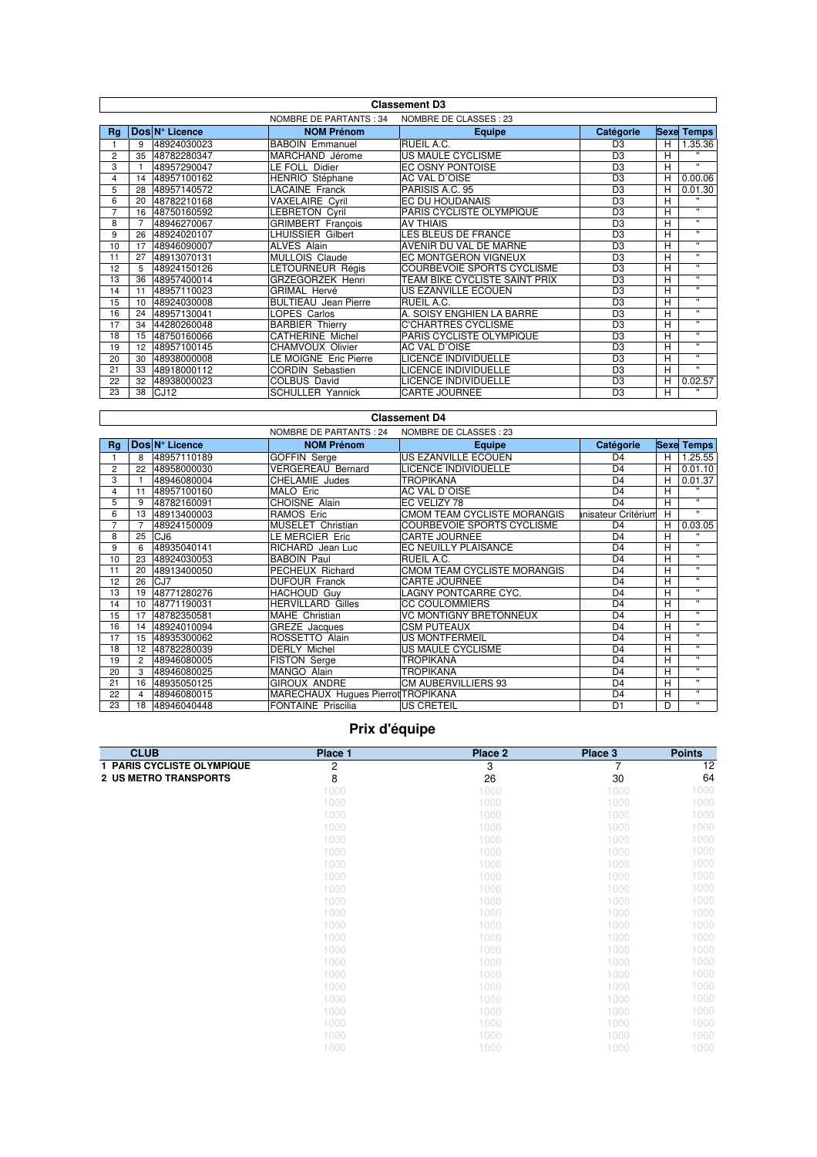| <b>Classement D3</b> |                                                  |                  |                             |                               |                |   |                   |  |
|----------------------|--------------------------------------------------|------------------|-----------------------------|-------------------------------|----------------|---|-------------------|--|
|                      | NOMBRE DE CLASSES : 23<br>NOMBRE DE PARTANTS: 34 |                  |                             |                               |                |   |                   |  |
| Rq                   |                                                  | Dos N° Licence   | <b>NOM Prénom</b>           | <b>Equipe</b>                 | Catégorie      |   | <b>Sexe Temps</b> |  |
|                      | 9                                                | 48924030023      | <b>BABOIN Emmanuel</b>      | RUEIL A.C.                    | D <sub>3</sub> | н | 1.35.36           |  |
| 2                    | 35                                               | 48782280347      | MARCHAND Jérome             | US MAULE CYCLISME             | D <sub>3</sub> | H | $\mathbf{u}$      |  |
| 3                    |                                                  | 48957290047      | LE FOLL Didier              | EC OSNY PONTOISE              | D <sub>3</sub> | Н | $\mathbf{H}$      |  |
| 4                    | 14                                               | 48957100162      | HENRIO Stéphane             | AC VAL D'OISE                 | D <sub>3</sub> | H | 0.00.06           |  |
| 5                    | 28                                               | 48957140572      | <b>LACAINE Franck</b>       | PARISIS A.C. 95               | D <sub>3</sub> | Н | 0.01.30           |  |
| 6                    | 20                                               | 48782210168      | <b>VAXELAIRE Cyril</b>      | EC DU HOUDANAIS               | D <sub>3</sub> | Н | $\mathbf{u}$      |  |
| 7                    | 16                                               | 48750160592      | <b>LEBRETON Cyril</b>       | PARIS CYCLISTE OLYMPIQUE      | D <sub>3</sub> | Н | $\mathbf{u}$      |  |
| 8                    |                                                  | 48946270067      | <b>GRIMBERT</b> Francois    | <b>AV THIAIS</b>              | D <sub>3</sub> | Н | $\mathbf{H}$      |  |
| 9                    | 26                                               | 48924020107      | <b>LHUISSIER Gilbert</b>    | LES BLEUS DE FRANCE           | D <sub>3</sub> | Н | $\mathbf{H}$      |  |
| 10                   | 17                                               | 48946090007      | <b>ALVES Alain</b>          | AVENIR DU VAL DE MARNE        | D <sub>3</sub> | Н | $\mathbf{H}$      |  |
| 11                   | 27                                               | 48913070131      | MULLOIS Claude              | EC MONTGERON VIGNEUX          | D <sub>3</sub> | Н | $\mathbf{u}$      |  |
| 12                   | 5                                                | 48924150126      | LETOURNEUR Régis            | COURBEVOIE SPORTS CYCLISME    | D <sub>3</sub> | Н | $\mathbf{u}$      |  |
| 13                   | 36                                               | 48957400014      | <b>GRZEGORZEK Henri</b>     | TEAM BIKE CYCLISTE SAINT PRIX | D <sub>3</sub> | Н | $\mathbf{H}$      |  |
| 14                   | 11                                               | 48957110023      | <b>GRIMAL Hervé</b>         | US EZANVILLE ECOUEN           | D <sub>3</sub> | Н | $\mathbf{H}$      |  |
| 15                   | 10                                               | 48924030008      | <b>BULTIEAU</b> Jean Pierre | RUEIL A.C.                    | D <sub>3</sub> | н | $\mathbf{H}$      |  |
| 16                   | 24                                               | 48957130041      | LOPES Carlos                | A. SOISY ENGHIEN LA BARRE     | D <sub>3</sub> | Н | $\mathbf{H}$      |  |
| 17                   | 34                                               | 44280260048      | <b>BARBIER Thierry</b>      | C'CHARTRES CYCLISME           | D <sub>3</sub> | Н | $\mathbf{H}$      |  |
| 18                   | 15                                               | 48750160066      | <b>CATHERINE Michel</b>     | PARIS CYCLISTE OLYMPIQUE      | D <sub>3</sub> | Н | $\mathbf{H}$      |  |
| 19                   | 12                                               | 48957100145      | CHAMVOUX Olivier            | AC VAL D'OISE                 | D <sub>3</sub> | Н | $\mathbf{u}$      |  |
| 20                   | 30                                               | 48938000008      | LE MOIGNE Eric Pierre       | LICENCE INDIVIDUELLE          | D <sub>3</sub> | Н | $\mathbf{H}$      |  |
| 21                   | 33                                               | 48918000112      | <b>CORDIN Sebastien</b>     | LICENCE INDIVIDUELLE          | D <sub>3</sub> | Н | $\mathbf{H}$      |  |
| 22                   | 32                                               | 48938000023      | <b>COLBUS David</b>         | LICENCE INDIVIDUELLE          | D <sub>3</sub> | Н | 0.02.57           |  |
| 23                   | 38                                               | CJ <sub>12</sub> | <b>SCHULLER Yannick</b>     | <b>CARTE JOURNEE</b>          | D <sub>3</sub> | н | $\mathbf{u}$      |  |

## **Classement D4**

 $\overline{\phantom{a}}$ 

 $\sqrt{ }$ 

|    |                |                 | NOMBRE DE PARTANTS: 24             | NOMBRE DE CLASSES : 23        |                     |   |                   |
|----|----------------|-----------------|------------------------------------|-------------------------------|---------------------|---|-------------------|
| Rg |                | Dos N° Licence  | <b>NOM Prénom</b>                  | <b>Equipe</b>                 | Catégorie           |   | <b>Sexe Temps</b> |
|    | 8              | 48957110189     | <b>GOFFIN Serge</b>                | US EZANVILLE ECOUEN           | D <sub>4</sub>      | н | 1.25.55           |
| 2  | 22             | 48958000030     | <b>VERGEREAU Bernard</b>           | LICENCE INDIVIDUELLE          | D <sub>4</sub>      | н | 0.01.10           |
| 3  |                | 48946080004     | CHELAMIE Judes                     | <b>TROPIKANA</b>              | D <sub>4</sub>      | н | 0.01.37           |
| 4  | 11             | 48957100160     | MALO Eric                          | AC VAL D'OISE                 | D <sub>4</sub>      | Н | $\mathbf{u}$      |
| 5  | 9              | 48782160091     | <b>CHOISNE Alain</b>               | EC VELIZY 78                  | D <sub>4</sub>      | Н | $\mathbf{H}$      |
| 6  | 13             | 48913400003     | <b>RAMOS Eric</b>                  | CMOM TEAM CYCLISTE MORANGIS   | tnisateur Critérium | H | $\mathbf{H}$      |
| 7  |                | 48924150009     | MUSELET Christian                  | COURBEVOIE SPORTS CYCLISME    | D <sub>4</sub>      | н | 0.03.05           |
| 8  | 25             | CJ <sub>6</sub> | LE MERCIER Eric                    | <b>CARTE JOURNEE</b>          | D <sub>4</sub>      | H | $\mathbf{u}$      |
| 9  | 6              | 48935040141     | RICHARD Jean Luc                   | EC NEUILLY PLAISANCE          | D <sub>4</sub>      | H | $\mathbf{H}$      |
| 10 | 23             | 48924030053     | <b>BABOIN Paul</b>                 | RUEIL A.C.                    | D <sub>4</sub>      | H | $\mathbf{H}$      |
| 11 | 20             | 48913400050     | PECHEUX Richard                    | CMOM TEAM CYCLISTE MORANGIS   | D <sub>4</sub>      | H | $\mathbf{H}$      |
| 12 | 26             | CJ7             | <b>DUFOUR Franck</b>               | <b>CARTE JOURNEE</b>          | D <sub>4</sub>      | H | $\mathbf{H}$      |
| 13 | 19             | 48771280276     | <b>HACHOUD Guv</b>                 | LAGNY PONTCARRE CYC.          | D <sub>4</sub>      | Н | $\mathbf{H}$      |
| 14 | 10             | 48771190031     | <b>HERVILLARD Gilles</b>           | <b>CC COULOMMIERS</b>         | D <sub>4</sub>      | н | $\mathbf{H}$      |
| 15 | 17             | 48782350581     | MAHE Christian                     | <b>VC MONTIGNY BRETONNEUX</b> | D <sub>4</sub>      | н | $\mathbf{H}$      |
| 16 | 14             | 48924010094     | GREZE Jacques                      | CSM PUTEAUX                   | D <sub>4</sub>      | н | $\mathbf{H}$      |
| 17 | 15             | 48935300062     | ROSSETTO Alain                     | US MONTFERMEIL                | D <sub>4</sub>      | н | $\mathbf{H}$      |
| 18 | 12             | 48782280039     | <b>DERLY Michel</b>                | US MAULE CYCLISME             | D <sub>4</sub>      | н | $\mathbf{H}$      |
| 19 | $\overline{2}$ | 48946080005     | <b>FISTON Serge</b>                | <b>TROPIKANA</b>              | D <sub>4</sub>      | н | $\mathbf{H}$      |
| 20 | 3              | 48946080025     | MANGO Alain                        | TROPIKANA                     | D <sub>4</sub>      | н | $\mathbf{H}$      |
| 21 | 16             | 48935050125     | <b>GIROUX ANDRE</b>                | CM AUBERVILLIERS 93           | D <sub>4</sub>      | н | $\mathbf{H}$      |
| 22 | 4              | 48946080015     | MARECHAUX Hugues Pierrot TROPIKANA |                               | D <sub>4</sub>      | н | $\mathbf{H}$      |
| 23 | 18             | 48946040448     | <b>FONTAINE Priscilia</b>          | <b>US CRETEIL</b>             | D <sub>1</sub>      | D | $\mathbf{H}$      |

## **Prix d'équipe**

| <b>CLUB</b>                  | Place 1 | Place 2 | Place 3 | <b>Points</b> |
|------------------------------|---------|---------|---------|---------------|
| 1 PARIS CYCLISTE OLYMPIQUE   | 2       | 3       | 7       | 12            |
| <b>2 US METRO TRANSPORTS</b> | 8       | 26      | 30      | 64            |
|                              | 1000    | 1000    | 1000    | 1000          |
|                              | 1000    | 1000    | 1000    | 1000          |
|                              | 1000    | 1000    | 1000    | 1000          |
|                              | 1000    | 1000    | 1000    | 1000          |
|                              | 1000    | 1000    | 1000    | 1000          |
|                              | 1000    | 1000    | 1000    | 1000          |
|                              | 1000    | 1000    | 1000    | 1000          |
|                              | 1000    | 1000    | 1000    | 1000          |
|                              | 1000    | 1000    | 1000    | 1000          |
|                              | 1000    | 1000    | 1000    | 1000          |
|                              | 1000    | 1000    | 1000    | 1000          |
|                              | 1000    | 1000    | 1000    | 1000          |
|                              | 1000    | 1000    | 1000    | 1000          |
|                              | 1000    | 1000    | 1000    | 1000          |
|                              | 1000    | 1000    | 1000    | 1000          |
|                              | 1000    | 1000    | 1000    | 1000          |
|                              | 1000    | 1000    | 1000    | 1000          |
|                              | 1000    | 1000    | 1000    | 1000          |
|                              | 1000    | 1000    | 1000    | 1000          |
|                              | 1000    | 1000    | 1000    | 1000          |
|                              | 1000    | 1000    | 1000    | 1000          |
|                              | 1000    | 1000    | 1000    | 1000          |